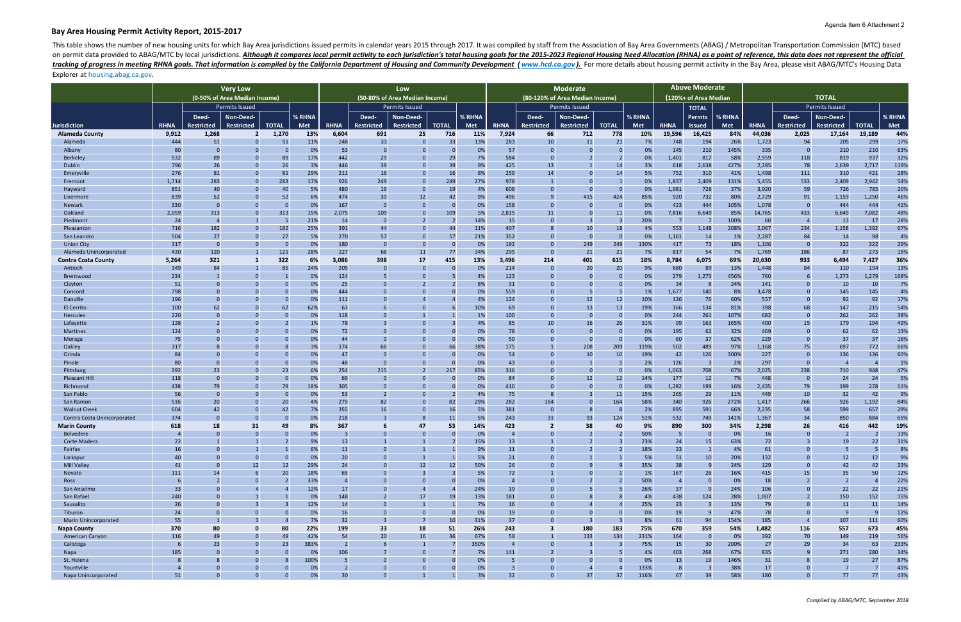# **Bay Area Housing Permit Activity Report, 2015‐2017**

This table shows the number of new housing units for which Bay Area jurisdictions issued permits in calendar years 2015 through 2017. It was compiled by staff from the Association of Bay Area Governments (ABAG) / Metropoli on permit data provided to ABAG/MTC by local jurisdictions. Although it compares local permit activity to each jurisdiction's total housing goals for the 2015-2023 Regional Housing Need Allocation (RHNA) as a point of refe tracking of progress in meeting RHNA goals. That information is compiled by the California Department of Housing and Community Development (www.hcd.ca.gov). For more details about housing permit activity in the Bay Area, p

|                                  | <b>Very Low</b>               |                                |                               |                                         |                                | Low                   |                   |                                |                |                       |                                                    |                   |                                | <b>Above Moderate</b>   |             |                                 |                 |              |                |                                  |                                 |              |             |
|----------------------------------|-------------------------------|--------------------------------|-------------------------------|-----------------------------------------|--------------------------------|-----------------------|-------------------|--------------------------------|----------------|-----------------------|----------------------------------------------------|-------------------|--------------------------------|-------------------------|-------------|---------------------------------|-----------------|--------------|----------------|----------------------------------|---------------------------------|--------------|-------------|
|                                  |                               |                                | (0-50% of Area Median Income) |                                         | (50-80% of Area Median Income) |                       |                   |                                |                |                       | <b>Moderate</b><br>(80-120% of Area Median Income) |                   |                                |                         |             | 120%+ of Area Median            |                 | <b>TOTAL</b> |                |                                  |                                 |              |             |
|                                  | <b>Permits Issued</b>         |                                |                               |                                         |                                | <b>Permits Issued</b> |                   |                                |                | <b>Permits Issued</b> |                                                    |                   |                                | <b>TOTAL</b>            |             | Permits Issued                  |                 |              |                |                                  |                                 |              |             |
|                                  |                               | Deed-                          | Non-Deed-                     |                                         | % RHNA                         |                       | Deed-             | Non-Deed-                      |                | % RHNA                |                                                    | Deed-             | Non-Deed-                      |                         | % RHNA      |                                 | <b>Permts</b>   | % RHNA       |                | Deed-                            | Non-Deed-                       |              | % RHNA      |
| Jurisdiction                     | <b>RHNA</b>                   | <b>Restricted</b>              | <b>Restricted</b>             | <b>TOTAL</b>                            | Met                            | <b>RHNA</b>           | <b>Restricted</b> | <b>Restricted</b>              | <b>TOTAL</b>   | Met                   | <b>RHNA</b>                                        | <b>Restricted</b> | <b>Restricted</b>              | <b>TOTAL</b>            | Met         | <b>RHNA</b>                     | <b>Issued</b>   | Met          | <b>RHNA</b>    | <b>Restricted</b>                | <b>Restricted</b>               | <b>TOTAL</b> | Met         |
| <b>Alameda County</b>            | 9,912                         | 1,268                          | 2                             | 1,270                                   | 13%                            | 6,604                 | 691               | 25                             | 716            | 11%                   | 7,924                                              | 66                | 712                            | 778                     | 10%         | 19,596                          | 16,425          | 84%          | 44,036         | 2,025                            | 17,164                          | 19,189       | 44%         |
| Alameda                          | 444                           | 51                             | $\Omega$                      | 51                                      | 11%                            | 248                   | 33                | $\overline{0}$                 | 33             | 13%                   | 283                                                | 10                | 11                             | 21                      | 7%          | 748                             | 194             | 26%          | 1,723          | 94                               | 205                             | 299          | 17%         |
| Albany                           | 80                            | 0                              |                               | - 0                                     | 0%                             | 53                    |                   | $\overline{0}$                 |                | 0%                    | 57                                                 | C.                |                                |                         | 0%          | 145                             | 210             | 145%         | 335            | $\overline{0}$                   | 210                             | 210          | 63%         |
| Berkeley                         | 532                           | 89                             |                               | 89                                      | 17%                            | 442                   | 29                | $\overline{0}$                 | 29             | 7%                    | 584                                                |                   |                                |                         | 0%          | 1,401                           | 817             | 58%          | 2,959          | 118                              | 819                             | 937          | 32%         |
| Dublin                           | 796                           | 26                             |                               | 26                                      | 3%                             | 446                   | 39                | $\Omega$                       | 39             | 9%                    | 425                                                | 13                |                                | 14                      | 3%          | 618                             | 2,638           | 427%         | 2,285          | 78                               | 2,639                           | 2,717        | 119%        |
| Emeryville                       | 276                           | 81                             |                               | 81                                      | 29%                            | 211                   | 16                | $\overline{0}$                 | 16             | 8%                    | 259                                                | 14                |                                | 14                      | 5%          | 752                             | 310             | 41%          | 1,498          | 111                              | 310                             | 421          | 28%         |
| Fremont<br>Hayward               | 1,714<br>851                  | 283<br>40                      |                               | 283<br>40                               | 17%<br>5%                      | 926<br>480            | 249<br>19         | $\overline{0}$<br>$\Omega$     | 249<br>19      | 27%<br>4%             | 978<br>608                                         |                   |                                | $\overline{0}$          | 0%<br>0%    | 1,837<br>1,981                  | 2,409<br>726    | 131%<br>37%  | 5,455<br>3,920 | 533<br>59                        | 2,409<br>726                    | 2,942<br>785 | 54%<br>20%  |
| Livermore                        | 839                           | 52                             |                               | 52                                      | 6%                             | 474                   | 30                | 12                             | 42             | 9%                    | 496                                                |                   | 415                            | 424                     | 85%         | 920                             | 732             | 80%          | 2,729          | 91                               | 1,159                           | 1,250        | 46%         |
| Newark                           | 330                           | $\overline{0}$                 |                               | $\overline{0}$                          | 0%                             | 167                   | $\Omega$          | $\overline{0}$                 | $\Omega$       | 0%                    | 158                                                | -0                |                                | - 0                     | 0%          | 423                             | 444             | 105%         | 1,078          | $\overline{0}$                   | 444                             | 444          | 41%         |
| Oakland                          | 2,059                         | 313                            |                               | 313                                     | 15%                            | 2,075                 | 109               | $\overline{0}$                 | 109            | 5%                    | 2,815                                              | 11                |                                | 11                      | 0%          | 7,816                           | 6,649           | 85%          | 14,765         | 433                              | 6,649                           | 7,082        | 48%         |
| Piedmont                         | 24                            | $\overline{4}$                 |                               | - 5                                     | 21%                            | 14                    |                   |                                |                | 14%                   | 15                                                 |                   |                                |                         | 20%         |                                 |                 | 100%         | 60             | $\overline{4}$                   | 13                              | 17           | 28%         |
| Pleasanton                       | 716                           | 182                            |                               | 182                                     | 25%                            | 391                   | 44                | $\overline{0}$                 | 44             | 11%                   | 407                                                |                   | 10                             | 18                      | 4%          | 553                             | 1,148           | 208%         | 2,067          | 234                              | 1,158                           | 1,392        | 67%         |
| San Leandro                      | 504                           | 27                             |                               | 27                                      | 5%                             | 270                   | 57                | $\overline{0}$                 | 57             | 21%                   | 352                                                |                   | $\Omega$                       | $\overline{0}$          | 0%          | 1,161                           | 14              | 1%           | 2,287          | 84                               | 14                              | 98           | 4%          |
| <b>Union City</b>                | 317                           | $\Omega$                       |                               | - 0                                     | 0%                             | 180                   |                   | $\overline{0}$                 |                | 0%                    | 192                                                |                   | 249                            | 249                     | 130%        | 417                             | 73              | 18%          | 1,106          | $\overline{0}$                   | 322                             | 322          | 29%         |
| Alameda Unincorporated           | 430                           | 120                            |                               | 121                                     | 28%                            | 227                   | 66                | 11                             | 77             | 34%                   | 295                                                | $\mathsf{C}$      | 21                             | 21                      | 7%          | 817                             | 54              | 7%           | 1,769          | 186                              | 87                              | 273          | 15%         |
| <b>Contra Costa County</b>       | 5,264                         | 321                            |                               | 322                                     | 6%                             | 3,086                 | 398               | 17<br>$\Omega$                 | 415            | 13%                   | 3,496                                              | 214               | 401                            | 615                     | 18%         | 8,784                           | 6,075           | 69%          | 20,630         | 933                              | 6,494                           | 7,427        | 36%         |
| Antioch<br>Brentwood             | 349<br>234                    | 84                             | C                             | 85                                      | 24%<br>0%                      | 205<br>124            |                   | $\overline{0}$                 |                | 0%<br>4%              | 214<br>123                                         |                   | 20                             | 20<br>$\Omega$          | 9%<br>0%    | 680<br>279                      | 89<br>1,273     | 13%<br>456%  | 1,448<br>760   | 84<br>-6                         | 110<br>1,273                    | 194<br>1,279 | 13%<br>168% |
| Clayton                          | 51                            | $\Omega$                       |                               | - 0                                     | 0%                             | 25                    |                   |                                |                | 8%                    | 31                                                 |                   |                                |                         | 0%          | 34                              | 8               | 24%          | 141            | $\Omega$                         | 10                              | 10           | 7%          |
| Concord                          | 798                           |                                |                               | $\overline{0}$                          | 0%                             | 444                   |                   | $\Omega$                       |                | 0%                    | 559                                                |                   |                                |                         | 1%          | 1,677                           | 140             | 8%           | 3,478          | $\Omega$                         | 145                             | 145          | 4%          |
| Danville                         | 196                           | $\Omega$                       |                               | $\overline{0}$                          | 0%                             | 111                   |                   |                                |                | 4%                    | 124                                                |                   | 12                             | 12                      | 10%         | 126                             | 76              | 60%          | 557            | $\Omega$                         | 92                              | 92           | 17%         |
| El Cerrito                       | 100                           | 62                             |                               | 62                                      | 62%                            | 63                    |                   | $\Omega$                       |                | 10%                   | 69                                                 |                   | 13                             | 13                      | 19%         | 166                             | 134             | 81%          | 398            | 68                               | 147                             | 215          | 54%         |
| Hercules                         | 220                           | $\Omega$                       |                               | $\overline{0}$                          | 0%                             | 118                   |                   |                                |                | 1%                    | 100                                                |                   |                                |                         | 0%          | 244                             | 261             | 107%         | 682            | $\Omega$                         | 262                             | 262          | 38%         |
| Lafayette                        | 138                           |                                | $\Omega$                      |                                         | 1%                             | 78                    |                   | $\Omega$                       |                | 4%                    | 85                                                 | 10                | 16                             | 26                      | 31%         | 99                              | 163             | 165%         | 400            | 15                               | 179                             | 194          | 49%         |
| Martinez                         | 124                           | $\Omega$                       |                               | - 0                                     | 0%                             | 72                    |                   | $\Omega$                       |                | 0%                    | 78                                                 |                   |                                |                         | 0%          | 195                             | 62              | 32%          | 469            | $\Omega$                         | 62                              | 62           | 13%         |
| Moraga                           | 75                            |                                | $\Omega$                      | - 0                                     | 0%                             | 44                    | 66                | $\Omega$<br>$\Omega$           |                | 0%                    | 50                                                 |                   | 208                            |                         | 0%          | 60                              | 37              | 62%          | 229            | $\Omega$                         | 37                              | 37           | 16%         |
| Oakley<br>Orinda                 | 317<br>84                     | - റ                            |                               | - 0                                     | 3%<br>0%                       | 174<br>47             |                   | $\Omega$                       | 66             | 38%<br>0%             | 175<br>54                                          |                   | 10                             | 209<br>10               | 119%<br>19% | 502<br>42                       | 489<br>126      | 97%<br>300%  | 1,168<br>227   | 75<br>$\Omega$                   | 697<br>136                      | 772<br>136   | 66%<br>60%  |
| Pinole                           | 80                            | $\overline{0}$                 |                               | $\overline{0}$                          | 0%                             | 48                    |                   | $\overline{0}$                 |                | 0%                    | 43                                                 |                   |                                |                         | 2%          | 126                             | - 3             | 2%           | 297            | $\overline{0}$                   | $\overline{4}$                  |              | 1%          |
| Pittsburg                        | 392                           | 23                             | $\mathsf{r}$                  | 23                                      | 6%                             | 254                   | 215               | $\overline{2}$                 | 217            | 85%                   | 316                                                |                   |                                | -0                      | 0%          | 1,063                           | 708             | 67%          | 2,025          | 238                              | 710                             | 948          | 47%         |
| <b>Pleasant Hill</b>             | 118                           | $\overline{0}$                 |                               | $\overline{0}$                          | 0%                             | 69                    |                   | $\Omega$                       |                | 0%                    | 84                                                 |                   | 12                             | 12                      | 14%         | 177                             | 12              | 7%           | 448            | $\Omega$                         | 24                              | 24           | 5%          |
| Richmond                         | 438                           | 79                             |                               | 79                                      | 18%                            | 305                   |                   | $\overline{0}$                 |                | 0%                    | 410                                                |                   |                                |                         | 0%          | 1,282                           | 199             | 16%          | 2,435          | 79                               | 199                             | 278          | 11%         |
| San Pablo                        | 56                            | $\Omega$                       |                               | $\overline{0}$                          | 0%                             | 53                    |                   | $\Omega$                       |                | 4%                    | 75                                                 |                   |                                | 11                      | 15%         | 265                             | 29              | 11%          | 449            | 10                               | 32                              | 42           | 9%          |
| San Ramon                        | 516                           | 20                             |                               | 20                                      | 4%                             | 279                   | 82                | $\overline{0}$                 | 82             | 29%                   | 282                                                | 164               |                                | 164                     | 58%         | 340                             | 926             | 272%         | 1,417          | 266                              | 926                             | 1,192        | 84%         |
| <b>Walnut Creek</b>              | 604                           | 42                             |                               | 42                                      | 7%                             | 355                   | 16                | $\overline{0}$                 | 16             | 5%                    | 381                                                | $\mathbf{0}$      |                                |                         | 2%          | 895                             | 591             | 66%          | 2,235          | 58                               | 599                             | 657          | 29%         |
| Contra Costa Unincorporated      | 374                           | $\overline{0}$                 | $\Omega$                      | $\overline{0}$                          | 0%                             | 218                   |                   | -8                             | 11             | 5%                    | 243                                                | 31                | 93                             | 124                     | 51%         | 532                             | 749             | 141%         | 1,367          | 34                               | 850                             | 884          | 65%         |
| <b>Marin County</b><br>Belvedere | 618<br>$\boldsymbol{\Lambda}$ | 18<br>$\Omega$                 | 31<br>$\Omega$                | 49<br>$\Omega$                          | 8%<br>0%                       | 367                   | $\Omega$          | 47<br>$\Omega$                 | 53<br>$\Omega$ | 14%<br>0%             | 423                                                | -2<br>$\Omega$    | 38<br>$\overline{\phantom{a}}$ | 40<br>$\mathbf{\Omega}$ | 9%<br>50%   | 890<br>$\overline{\phantom{a}}$ | 300<br>$\Omega$ | 34%<br>0%    | 2,298<br>16    | 26<br>$\Omega$                   | 416<br>$\overline{\phantom{a}}$ | 442<br>ຳ     | 19%<br>13%  |
| Corte Madera                     | 22                            |                                |                               |                                         | 9%                             | 13                    |                   |                                |                | 15%                   | 13                                                 |                   |                                |                         | 23%         | 24                              | 15              | 63%          | 72             |                                  | 19                              | 22           | 31%         |
| Fairfax                          | 16                            | $\overline{0}$                 |                               |                                         | 6%                             | 11                    |                   |                                |                | 9%                    | 11                                                 | $\mathbf{0}$      |                                |                         | 18%         | 23                              | $\mathbf{1}$    | 4%           | 61             | $\overline{0}$                   | 5                               |              | 8%          |
| Larkspur                         | 40                            | $\overline{0}$                 | $\overline{0}$                | $\overline{0}$                          | 0%                             | 20                    |                   |                                |                | 5%                    | 21                                                 | $\mathbf{C}$      |                                |                         | 5%          | 51                              | 10              | 20%          | 132            | $\overline{0}$                   | 12                              | 12           | 9%          |
| <b>Mill Valley</b>               | 41                            | $\overline{0}$                 | 12                            | 12                                      | 29%                            | 24                    | 0                 | 12                             | 12             | 50%                   | 26                                                 | $\Omega$          |                                |                         | 35%         | 38                              | - S             | 24%          | 129            | $\overline{0}$                   | 42                              | 42           | 33%         |
| Novato                           | 111                           | 14                             |                               | 20                                      | 18%                            | 65                    |                   | $\overline{\mathbf{3}}$        |                | 5%                    | 72                                                 |                   |                                |                         | 1%          | 167                             | 26              | 16%          | 415            | 15                               | 35                              | 50           | 12%         |
| Ross                             | 6                             | $\overline{2}$                 | $\Omega$                      | $\overline{2}$                          | 33%                            | $\sqrt{2}$            |                   | $\overline{0}$                 |                | 0%                    | $\overline{4}$                                     | $\Omega$          | $\overline{2}$                 |                         | 50%         | $\overline{4}$                  | $\Omega$        | 0%           | 18             | $\overline{2}$                   | $\overline{2}$                  |              | 22%         |
| San Anselmo                      | 33                            | $\mathbf{0}$                   |                               | - 4                                     | 12%                            | 17                    | $\mathbf 0$       | $\overline{4}$                 |                | 24%                   | 19                                                 |                   |                                |                         | 26%         | 37                              |                 | 24%          | 106            | $\overline{0}$                   | 22                              | 22           | 21%         |
| San Rafael                       | 240                           | $\overline{0}$                 |                               |                                         | 0%                             | 148                   |                   | 17                             | 19             | 13%                   | 181                                                |                   |                                |                         | 4%          | 438                             | 124             | 28%          | 1,007          | $\overline{2}$                   | 150                             | 152          | 15%         |
| Sausalito<br>Tiburon             | 26<br>24                      | $\overline{0}$<br>$\mathbf{0}$ | $\mathbf{0}$                  | $\overline{\mathbf{3}}$<br>$\mathbf{0}$ | 12%<br>0%                      | 14<br>16              | $\mathbf 0$       | $\mathbf{1}$<br>$\overline{0}$ |                | 7%<br>0%              | 16<br>19                                           | $\Omega$<br>0     | $\overline{0}$                 | - 0                     | 25%<br>0%   | 23<br>19                        | - 3<br>- 9      | 13%<br>47%   | 79<br>78       | $\overline{0}$<br>$\overline{0}$ | 11<br>- 9                       | 11<br>-9     | 14%<br>12%  |
| <b>Marin Unincorporated</b>      | 55                            |                                |                               | $\overline{4}$                          | 7%                             | 32                    |                   | $\overline{7}$                 | 10             | 31%                   | 37                                                 | $\mathbf 0$       |                                |                         | 8%          | 61                              | 94              | 154%         | 185            | $\overline{4}$                   | 107                             | 111          | 60%         |
| <b>Napa County</b>               | 370                           | 80                             | $\Omega$                      | 80                                      | 22%                            | 199                   | 33                | 18                             | 51             | 26%                   | 243                                                | -3                | 180                            | 183                     | 75%         | 670                             | 359             | 54%          | 1,482          | 116                              | 557                             | 673          | 45%         |
| <b>American Canyon</b>           | 116                           | 49                             |                               | 49                                      | 42%                            | 54                    | 20                | 16                             | 36             | 67%                   | 58                                                 |                   | 133                            | 134                     | 231%        | 164                             | -0              | 0%           | 392            | 70                               | 149                             | 219          | 56%         |
| Calistoga                        | 6                             | 23                             | $\Omega$                      | 23                                      | 383%                           | $\overline{2}$        |                   | $\mathbf{1}$                   |                | 350%                  | $\overline{4}$                                     | $\Omega$          |                                |                         | 75%         | 15                              | 30              | 200%         | 27             | 29                               | 34                              | 63           | 233%        |
| Napa                             | 185                           | $\overline{0}$                 | $\Omega$                      | $\overline{0}$                          | 0%                             | 106                   |                   | $\overline{0}$                 |                | 7%                    | 141                                                |                   |                                |                         | 4%          | 403                             | 268             | 67%          | 835            | 9                                | 271                             | 280          | 34%         |
| St. Helena                       |                               |                                | 0                             |                                         | 100%                           |                       |                   | $\overline{0}$                 |                | 0%                    | 5                                                  |                   |                                |                         | 0%          | 13                              | 19              | 146%         | 31             | 8                                | 19                              | 27           | 87%         |
| Yountville                       | $\overline{4}$                | $\mathbf{0}$                   | $\mathbf 0$                   | - 0                                     | 0%                             |                       | $\overline{0}$    | $\overline{0}$                 |                | 0%                    | $\overline{3}$                                     | 0                 |                                |                         | 133%        |                                 |                 | 38%          | 17             | $\overline{0}$                   | $\overline{7}$                  |              | 41%         |
| Napa Unincorporated              | 51                            | $\Omega$                       | $\Omega$                      |                                         | 0%                             | 30 <sup>°</sup>       | $\Omega$          |                                |                | 3%                    | 32                                                 | $\Omega$          | 37                             | 37                      | 116%        | 67                              | 39              | 58%          | 180            | $\Omega$                         | 77                              | 77           | 43%         |

# Explorer at housing.abag.ca.gov.